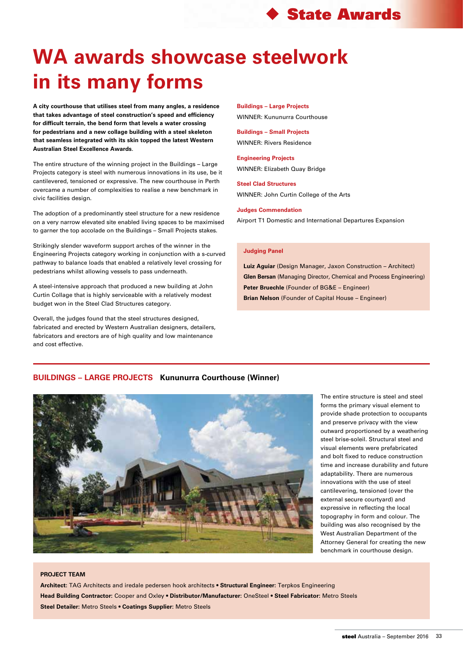# **WA awards showcase steelwork in its many forms**

**A city courthouse that utilises steel from many angles, a residence that takes advantage of steel construction's speed and efficiency for difficult terrain, the bend form that levels a water crossing for pedestrians and a new collage building with a steel skeleton that seamless integrated with its skin topped the latest Western Australian Steel Excellence Awards**.

The entire structure of the winning project in the Buildings – Large Projects category is steel with numerous innovations in its use, be it cantilevered, tensioned or expressive. The new courthouse in Perth overcame a number of complexities to realise a new benchmark in civic facilities design.

The adoption of a predominantly steel structure for a new residence on a very narrow elevated site enabled living spaces to be maximised to garner the top accolade on the Buildings – Small Projects stakes.

Strikingly slender waveform support arches of the winner in the Engineering Projects category working in conjunction with a s-curved pathway to balance loads that enabled a relatively level crossing for pedestrians whilst allowing vessels to pass underneath.

A steel-intensive approach that produced a new building at John Curtin Collage that is highly serviceable with a relatively modest budget won in the Steel Clad Structures category.

Overall, the judges found that the steel structures designed, fabricated and erected by Western Australian designers, detailers, fabricators and erectors are of high quality and low maintenance and cost effective.

**Buildings – Large Projects** WINNER: Kununurra Courthouse

**Buildings – Small Projects** WINNER: Rivers Residence

**Engineering Projects** WINNER: Elizabeth Quay Bridge

**Steel Clad Structures** WINNER: John Curtin College of the Arts

#### **Judges Commendation**

Airport T1 Domestic and International Departures Expansion

### **Judging Panel**

**Luiz Aguiar** (Design Manager, Jaxon Construction – Architect) **Glen Bersan** (Managing Director, Chemical and Process Engineering) **Peter Bruechle** (Founder of BG&E – Engineer) **Brian Nelson** (Founder of Capital House – Engineer)

## **BUILDINGS – LARGE PROJECTS Kununurra Courthouse (Winner)**



The entire structure is steel and steel forms the primary visual element to provide shade protection to occupants and preserve privacy with the view outward proportioned by a weathering steel brise-soleil. Structural steel and visual elements were prefabricated and bolt fixed to reduce construction time and increase durability and future adaptability. There are numerous innovations with the use of steel cantilevering, tensioned (over the external secure courtyard) and expressive in reflecting the local topography in form and colour. The building was also recognised by the West Australian Department of the Attorney General for creating the new benchmark in courthouse design.

## **PROJECT TEAM**

**Architect:** TAG Architects and iredale pedersen hook architects • **Structural Engineer:** Terpkos Engineering **Head Building Contractor:** Cooper and Oxley • **Distributor/Manufacturer:** OneSteel • **Steel Fabricator:** Metro Steels **Steel Detailer:** Metro Steels • **Coatings Supplier:** Metro Steels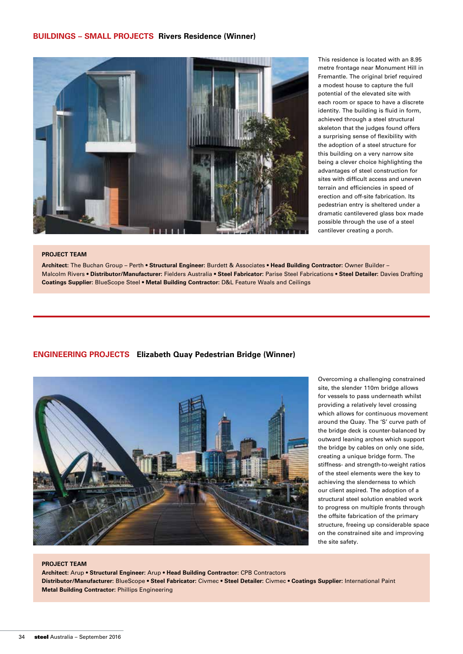## **Buildings – Small Projects Rivers Residence (Winner)**



This residence is located with an 8.95 metre frontage near Monument Hill in Fremantle. The original brief required a modest house to capture the full potential of the elevated site with each room or space to have a discrete identity. The building is fluid in form, achieved through a steel structural skeleton that the judges found offers a surprising sense of flexibility with the adoption of a steel structure for this building on a very narrow site being a clever choice highlighting the advantages of steel construction for sites with difficult access and uneven terrain and efficiencies in speed of erection and off-site fabrication. Its pedestrian entry is sheltered under a dramatic cantilevered glass box made possible through the use of a steel cantilever creating a porch.

#### **PROJECT TEAM**

**Architect:** The Buchan Group – Perth • **Structural Engineer:** Burdett & Associates **• Head Building Contractor:** Owner Builder – Malcolm Rivers • **Distributor/Manufacturer:** Fielders Australia • **Steel Fabricator:** Parise Steel Fabrications • **Steel Detailer:** Davies Drafting **Coatings Supplier:** BlueScope Steel • **Metal Building Contractor:** D&L Feature Waals and Ceilings

## **Engineering Projects Elizabeth Quay Pedestrian Bridge (Winner)**



Overcoming a challenging constrained site, the slender 110m bridge allows for vessels to pass underneath whilst providing a relatively level crossing which allows for continuous movement around the Quay. The 'S' curve path of the bridge deck is counter-balanced by outward leaning arches which support the bridge by cables on only one side, creating a unique bridge form. The stiffness- and strength-to-weight ratios of the steel elements were the key to achieving the slenderness to which our client aspired. The adoption of a structural steel solution enabled work to progress on multiple fronts through the offsite fabrication of the primary structure, freeing up considerable space on the constrained site and improving the site safety.

#### **PROJECT TEAM**

**Architect:** Arup • **Structural Engineer:** Arup • **Head Building Contractor:** CPB Contractors **Distributor/Manufacturer:** BlueScope • **Steel Fabricator:** Civmec • **Steel Detailer:** Civmec • **Coatings Supplier:** International Paint **Metal Building Contractor:** Phillips Engineering